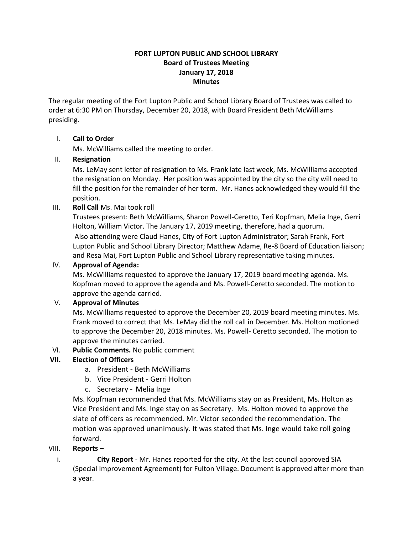# **FORT LUPTON PUBLIC AND SCHOOL LIBRARY Board of Trustees Meeting January 17, 2018 Minutes**

The regular meeting of the Fort Lupton Public and School Library Board of Trustees was called to order at 6:30 PM on Thursday, December 20, 2018, with Board President Beth McWilliams presiding.

# I. **Call to Order**

Ms. McWilliams called the meeting to order.

## II. **Resignation**

Ms. LeMay sent letter of resignation to Ms. Frank late last week, Ms. McWilliams accepted the resignation on Monday. Her position was appointed by the city so the city will need to fill the position for the remainder of her term. Mr. Hanes acknowledged they would fill the position.

## III. **Roll Call** Ms. Mai took roll

Trustees present: Beth McWilliams, Sharon Powell-Ceretto, Teri Kopfman, Melia Inge, Gerri Holton, William Victor. The January 17, 2019 meeting, therefore, had a quorum. Also attending were Claud Hanes, City of Fort Lupton Administrator; Sarah Frank, Fort Lupton Public and School Library Director; Matthew Adame, Re-8 Board of Education liaison; and Resa Mai, Fort Lupton Public and School Library representative taking minutes.

# IV. **Approval of Agenda:**

Ms. McWilliams requested to approve the January 17, 2019 board meeting agenda. Ms. Kopfman moved to approve the agenda and Ms. Powell-Ceretto seconded. The motion to approve the agenda carried.

## V. **Approval of Minutes**

Ms. McWilliams requested to approve the December 20, 2019 board meeting minutes. Ms. Frank moved to correct that Ms. LeMay did the roll call in December. Ms. Holton motioned to approve the December 20, 2018 minutes. Ms. Powell- Ceretto seconded. The motion to approve the minutes carried.

## VI. **Public Comments.** No public comment

# **VII. Election of Officers**

- a. President Beth McWilliams
- b. Vice President Gerri Holton
- c. Secretary Melia Inge

Ms. Kopfman recommended that Ms. McWilliams stay on as President, Ms. Holton as Vice President and Ms. Inge stay on as Secretary. Ms. Holton moved to approve the slate of officers as recommended. Mr. Victor seconded the recommendation. The motion was approved unanimously. It was stated that Ms. Inge would take roll going forward.

## VIII. **Reports –**

i. **City Report** - Mr. Hanes reported for the city. At the last council approved SIA (Special Improvement Agreement) for Fulton Village. Document is approved after more than a year.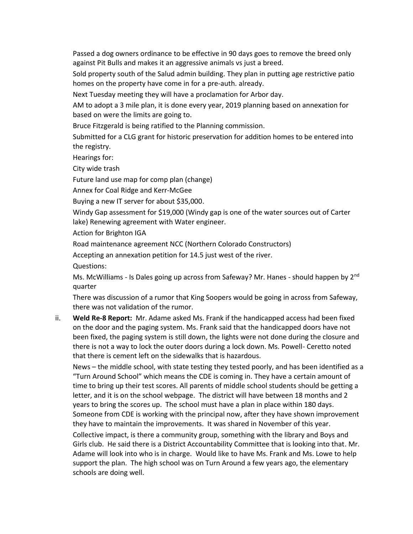Passed a dog owners ordinance to be effective in 90 days goes to remove the breed only against Pit Bulls and makes it an aggressive animals vs just a breed.

Sold property south of the Salud admin building. They plan in putting age restrictive patio homes on the property have come in for a pre-auth. already.

Next Tuesday meeting they will have a proclamation for Arbor day.

AM to adopt a 3 mile plan, it is done every year, 2019 planning based on annexation for based on were the limits are going to.

Bruce Fitzgerald is being ratified to the Planning commission.

Submitted for a CLG grant for historic preservation for addition homes to be entered into the registry.

Hearings for:

City wide trash

Future land use map for comp plan (change)

Annex for Coal Ridge and Kerr-McGee

Buying a new IT server for about \$35,000.

Windy Gap assessment for \$19,000 (Windy gap is one of the water sources out of Carter lake) Renewing agreement with Water engineer.

Action for Brighton IGA

Road maintenance agreement NCC (Northern Colorado Constructors)

Accepting an annexation petition for 14.5 just west of the river.

Questions:

Ms. McWilliams - Is Dales going up across from Safeway? Mr. Hanes - should happen by 2<sup>nd</sup> quarter

There was discussion of a rumor that King Soopers would be going in across from Safeway, there was not validation of the rumor.

ii. **Weld Re-8 Report:** Mr. Adame asked Ms. Frank if the handicapped access had been fixed on the door and the paging system. Ms. Frank said that the handicapped doors have not been fixed, the paging system is still down, the lights were not done during the closure and there is not a way to lock the outer doors during a lock down. Ms. Powell- Ceretto noted that there is cement left on the sidewalks that is hazardous.

News – the middle school, with state testing they tested poorly, and has been identified as a "Turn Around School" which means the CDE is coming in. They have a certain amount of time to bring up their test scores. All parents of middle school students should be getting a letter, and it is on the school webpage. The district will have between 18 months and 2 years to bring the scores up. The school must have a plan in place within 180 days. Someone from CDE is working with the principal now, after they have shown improvement they have to maintain the improvements. It was shared in November of this year.

Collective impact, is there a community group, something with the library and Boys and Girls club. He said there is a District Accountability Committee that is looking into that. Mr. Adame will look into who is in charge. Would like to have Ms. Frank and Ms. Lowe to help support the plan. The high school was on Turn Around a few years ago, the elementary schools are doing well.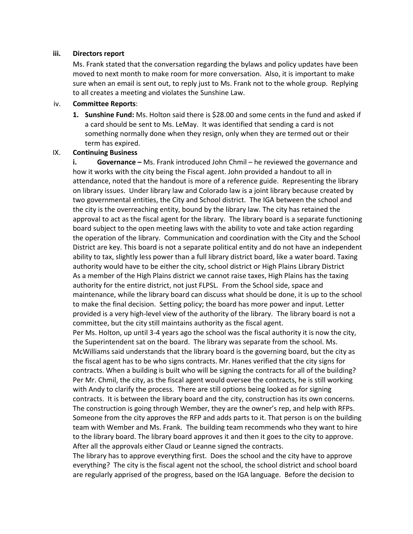#### **iii. Directors report**

Ms. Frank stated that the conversation regarding the bylaws and policy updates have been moved to next month to make room for more conversation. Also, it is important to make sure when an email is sent out, to reply just to Ms. Frank not to the whole group. Replying to all creates a meeting and violates the Sunshine Law.

#### iv. **Committee Reports**:

**1. Sunshine Fund:** Ms. Holton said there is \$28.00 and some cents in the fund and asked if a card should be sent to Ms. LeMay. It was identified that sending a card is not something normally done when they resign, only when they are termed out or their term has expired.

#### IX. **Continuing Business**

**i. Governance –** Ms. Frank introduced John Chmil – he reviewed the governance and how it works with the city being the Fiscal agent. John provided a handout to all in attendance, noted that the handout is more of a reference guide. Representing the library on library issues. Under library law and Colorado law is a joint library because created by two governmental entities, the City and School district. The IGA between the school and the city is the overreaching entity, bound by the library law. The city has retained the approval to act as the fiscal agent for the library. The library board is a separate functioning board subject to the open meeting laws with the ability to vote and take action regarding the operation of the library. Communication and coordination with the City and the School District are key. This board is not a separate political entity and do not have an independent ability to tax, slightly less power than a full library district board, like a water board. Taxing authority would have to be either the city, school district or High Plains Library District As a member of the High Plains district we cannot raise taxes, High Plains has the taxing authority for the entire district, not just FLPSL. From the School side, space and maintenance, while the library board can discuss what should be done, it is up to the school to make the final decision. Setting policy; the board has more power and input. Letter provided is a very high-level view of the authority of the library. The library board is not a committee, but the city still maintains authority as the fiscal agent.

Per Ms. Holton, up until 3-4 years ago the school was the fiscal authority it is now the city, the Superintendent sat on the board. The library was separate from the school. Ms. McWilliams said understands that the library board is the governing board, but the city as the fiscal agent has to be who signs contracts. Mr. Hanes verified that the city signs for contracts. When a building is built who will be signing the contracts for all of the building? Per Mr. Chmil, the city, as the fiscal agent would oversee the contracts, he is still working with Andy to clarify the process. There are still options being looked as for signing contracts. It is between the library board and the city, construction has its own concerns. The construction is going through Wember, they are the owner's rep, and help with RFPs. Someone from the city approves the RFP and adds parts to it. That person is on the building team with Wember and Ms. Frank. The building team recommends who they want to hire to the library board. The library board approves it and then it goes to the city to approve. After all the approvals either Claud or Leanne signed the contracts.

The library has to approve everything first. Does the school and the city have to approve everything? The city is the fiscal agent not the school, the school district and school board are regularly apprised of the progress, based on the IGA language. Before the decision to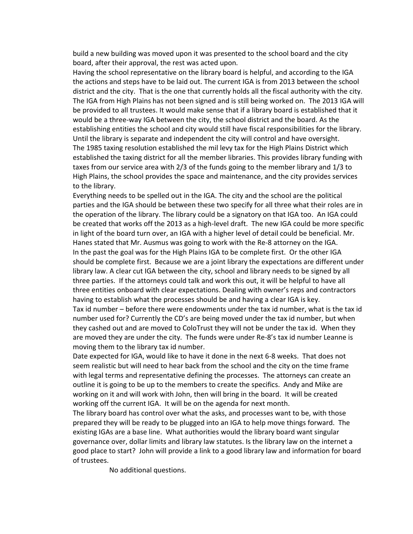build a new building was moved upon it was presented to the school board and the city board, after their approval, the rest was acted upon.

Having the school representative on the library board is helpful, and according to the IGA the actions and steps have to be laid out. The current IGA is from 2013 between the school district and the city. That is the one that currently holds all the fiscal authority with the city. The IGA from High Plains has not been signed and is still being worked on. The 2013 IGA will be provided to all trustees. It would make sense that if a library board is established that it would be a three-way IGA between the city, the school district and the board. As the establishing entities the school and city would still have fiscal responsibilities for the library. Until the library is separate and independent the city will control and have oversight. The 1985 taxing resolution established the mil levy tax for the High Plains District which established the taxing district for all the member libraries. This provides library funding with taxes from our service area with 2/3 of the funds going to the member library and 1/3 to High Plains, the school provides the space and maintenance, and the city provides services to the library.

Everything needs to be spelled out in the IGA. The city and the school are the political parties and the IGA should be between these two specify for all three what their roles are in the operation of the library. The library could be a signatory on that IGA too. An IGA could be created that works off the 2013 as a high-level draft. The new IGA could be more specific in light of the board turn over, an IGA with a higher level of detail could be beneficial. Mr. Hanes stated that Mr. Ausmus was going to work with the Re-8 attorney on the IGA. In the past the goal was for the High Plains IGA to be complete first. Or the other IGA should be complete first. Because we are a joint library the expectations are different under library law. A clear cut IGA between the city, school and library needs to be signed by all three parties. If the attorneys could talk and work this out, it will be helpful to have all three entities onboard with clear expectations. Dealing with owner's reps and contractors having to establish what the processes should be and having a clear IGA is key.

Tax id number – before there were endowments under the tax id number, what is the tax id number used for? Currently the CD's are being moved under the tax id number, but when they cashed out and are moved to ColoTrust they will not be under the tax id. When they are moved they are under the city. The funds were under Re-8's tax id number Leanne is moving them to the library tax id number.

Date expected for IGA, would like to have it done in the next 6-8 weeks. That does not seem realistic but will need to hear back from the school and the city on the time frame with legal terms and representative defining the processes. The attorneys can create an outline it is going to be up to the members to create the specifics. Andy and Mike are working on it and will work with John, then will bring in the board. It will be created working off the current IGA. It will be on the agenda for next month.

The library board has control over what the asks, and processes want to be, with those prepared they will be ready to be plugged into an IGA to help move things forward. The existing IGAs are a base line. What authorities would the library board want singular governance over, dollar limits and library law statutes. Is the library law on the internet a good place to start? John will provide a link to a good library law and information for board of trustees.

No additional questions.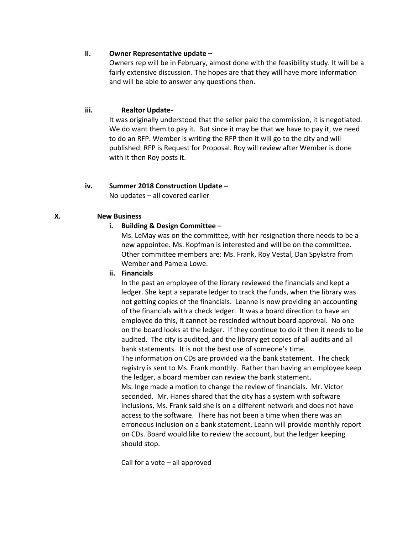#### **ii. Owner Representative update –**

Owners rep will be in February, almost done with the feasibility study. It will be a fairly extensive discussion. The hopes are that they will have more information and will be able to answer any questions then.

#### **iii. Realtor Update-**

It was originally understood that the seller paid the commission, it is negotiated. We do want them to pay it. But since it may be that we have to pay it, we need to do an RFP. Wember is writing the RFP then it will go to the city and will published. RFP is Request for Proposal. Roy will review after Wember is done with it then Roy posts it.

## **iv. Summer 2018 Construction Update –**

No updates – all covered earlier

#### **X. New Business**

#### **i. Building & Design Committee –**

Ms. LeMay was on the committee, with her resignation there needs to be a new appointee. Ms. Kopfman is interested and will be on the committee. Other committee members are: Ms. Frank, Roy Vestal, Dan Spykstra from Wember and Pamela Lowe.

#### **ii. Financials**

In the past an employee of the library reviewed the financials and kept a ledger. She kept a separate ledger to track the funds, when the library was not getting copies of the financials. Leanne is now providing an accounting of the financials with a check ledger. It was a board direction to have an employee do this, it cannot be rescinded without board approval. No one on the board looks at the ledger. If they continue to do it then it needs to be audited. The city is audited, and the library get copies of all audits and all bank statements. It is not the best use of someone's time. The information on CDs are provided via the bank statement. The check registry is sent to Ms. Frank monthly. Rather than having an employee keep the ledger, a board member can review the bank statement. Ms. Inge made a motion to change the review of financials. Mr. Victor seconded. Mr. Hanes shared that the city has a system with software inclusions, Ms. Frank said she is on a different network and does not have access to the software. There has not been a time when there was an erroneous inclusion on a bank statement. Leann will provide monthly report on CDs. Board would like to review the account, but the ledger keeping should stop.

Call for a vote – all approved